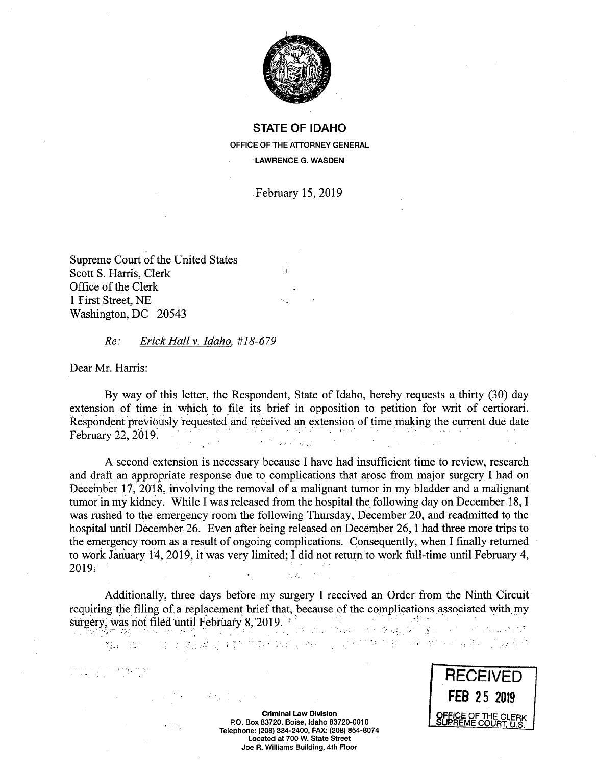

**STATE OF IDAHO OFFICE OF THE ATTORNEY GENERAL LAWRENCE G. WASDEN** 

February 15, 2019

Supreme Court of the United States Scott S. Harris, Clerk Office of the Clerk 1 First Street, NE Washington, DC *20543* 

## *Re: Erick Hall v. Idaho, #18-679*

Dear Mr. Harris:

ya Ka

By way of this letter, the Respondent, State of Idaho, hereby requests a thirty (30) day extension of time in which to file its brief in opposition to petition for writ of certiorari Respondent previously requested and received an extension of time making the current due date February 22, 2019 .<br>Seriak

A second extension is necessary because I have had insufficient time to review, research and draft an appropriate response due to complications that arose from major surgery I had on December 17, 2018, involving the removal of a malignant tumor in my bladder and a malignant tumor in my kidney. While I was released from the hospital the following day on December 18, I was rushed to the emergency room the following Thursday, December 20, and readmitted to the hospital until December 26. Even after being released on December 26, I had three more trips to the emergency room as a result of ongoing complications. Consequently, when I finally returned to work January 14, 2019, it was very limited; I did not return to work full-time until February 4, 2019

Additionally, three days before my surgery I received an Order from the Ninth Circuit requiring the filing of a replacement brief that, because of the complications associated with, my surgery, was not filed until February 8, 2019.  $\mathcal{O}(\log n)$ 经发现货币的

ਬਾਨ ਸੀ ਹੋ ਅੱਖਣਾ ਸਾਮ ਸ਼ੁਰੂ ਹਨ ਨੂੰ ਸਮੇ



**Criminal Law Division P.O. Box 83720, Boise, Idaho 83720-0010**  Telephone: (208) 334-2400, FAX: (208) 854-8074 **Located at 700 W. State Street Joe R. Williams Building, 4th Floor**